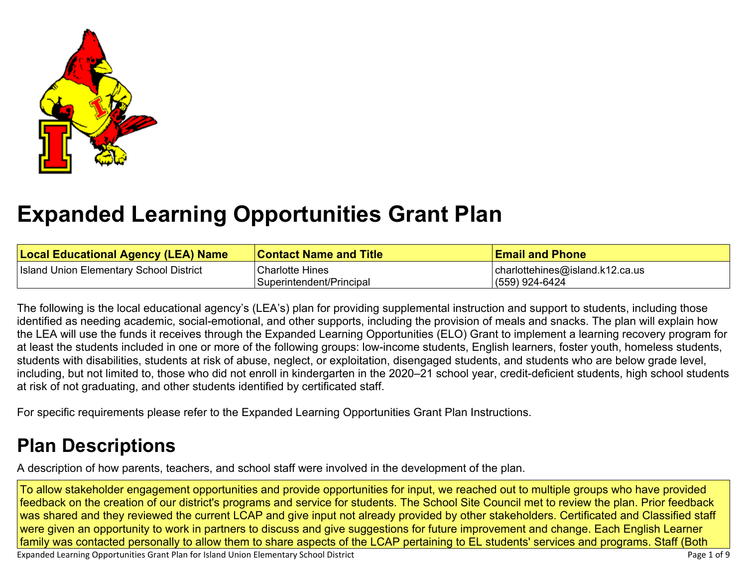

# **[Expanded Learning Opportunities Grant Plan](#page-5-0)**

| <b>Local Educational Agency (LEA) Name</b> | <b>Contact Name and Title</b> | <b>Email and Phone</b>              |
|--------------------------------------------|-------------------------------|-------------------------------------|
| Island Union Elementary School District    | <b>Charlotte Hines</b>        | $ $ charlottehines@island.k12.ca.us |
|                                            | Superintendent/Principal      | (559) 924-6424                      |

The following is the local educational agency's (LEA's) plan for providing supplemental instruction and support to students, including those identified as needing academic, social-emotional, and other supports, including the provision of meals and snacks. The plan will explain how the LEA will use the funds it receives through the Expanded Learning Opportunities (ELO) Grant to implement a learning recovery program for at least the students included in one or more of the following groups: low-income students, English learners, foster youth, homeless students, students with disabilities, students at risk of abuse, neglect, or exploitation, disengaged students, and students who are below grade level, including, but not limited to, those who did not enroll in kindergarten in the 2020–21 school year, credit-deficient students, high school students at risk of not graduating, and other students identified by certificated staff.

For specific requirements please refer to the Expanded Learning Opportunities Grant Plan Instructions.

## **[Plan Descriptions](#page-7-0)**

[A description of how parents, teachers, and school staff were involved in the development of the plan.](#page-7-1)

To allow stakeholder engagement opportunities and provide opportunities for input, we reached out to multiple groups who have provided feedback on the creation of our district's programs and service for students. The School Site Council met to review the plan. Prior feedback was shared and they reviewed the current LCAP and give input not already provided by other stakeholders. Certificated and Classified staff were given an opportunity to work in partners to discuss and give suggestions for future improvement and change. Each English Learner family was contacted personally to allow them to share aspects of the LCAP pertaining to EL students' services and programs. Staff (Both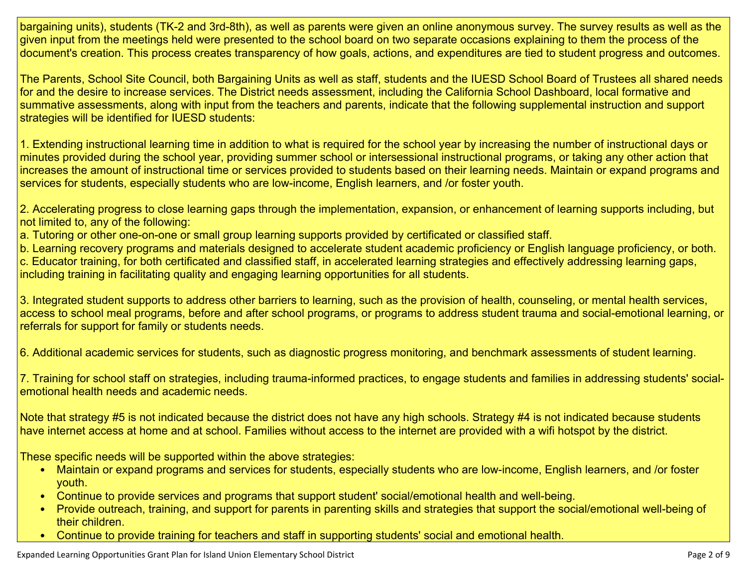bargaining units), students (TK-2 and 3rd-8th), as well as parents were given an online anonymous survey. The survey results as well as the given input from the meetings held were presented to the school board on two separate occasions explaining to them the process of the document's creation. This process creates transparency of how goals, actions, and expenditures are tied to student progress and outcomes.

The Parents, School Site Council, both Bargaining Units as well as staff, students and the IUESD School Board of Trustees all shared needs for and the desire to increase services. The District needs assessment, including the California School Dashboard, local formative and summative assessments, along with input from the teachers and parents, indicate that the following supplemental instruction and support strategies will be identified for IUESD students:

1. Extending instructional learning time in addition to what is required for the school year by increasing the number of instructional days or minutes provided during the school year, providing summer school or intersessional instructional programs, or taking any other action that increases the amount of instructional time or services provided to students based on their learning needs. Maintain or expand programs and services for students, especially students who are low-income, English learners, and /or foster youth.

2. Accelerating progress to close learning gaps through the implementation, expansion, or enhancement of learning supports including, but not limited to, any of the following:

a. Tutoring or other one-on-one or small group learning supports provided by certificated or classified staff.

b. Learning recovery programs and materials designed to accelerate student academic proficiency or English language proficiency, or both. c. Educator training, for both certificated and classified staff, in accelerated learning strategies and effectively addressing learning gaps, including training in facilitating quality and engaging learning opportunities for all students.

3. Integrated student supports to address other barriers to learning, such as the provision of health, counseling, or mental health services, access to school meal programs, before and after school programs, or programs to address student trauma and social-emotional learning, or referrals for support for family or students needs.

6. Additional academic services for students, such as diagnostic progress monitoring, and benchmark assessments of student learning.

7. Training for school staff on strategies, including trauma-informed practices, to engage students and families in addressing students' socialemotional health needs and academic needs.

Note that strategy #5 is not indicated because the district does not have any high schools. Strategy #4 is not indicated because students have internet access at home and at school. Families without access to the internet are provided with a wifi hotspot by the district.

These specific needs will be supported within the above strategies:

- Maintain or expand programs and services for students, especially students who are low-income, English learners, and /or foster youth.
- Continue to provide services and programs that support student' social/emotional health and well-being.
- Provide outreach, training, and support for parents in parenting skills and strategies that support the social/emotional well-being of their children.
- Continue to provide training for teachers and staff in supporting students' social and emotional health.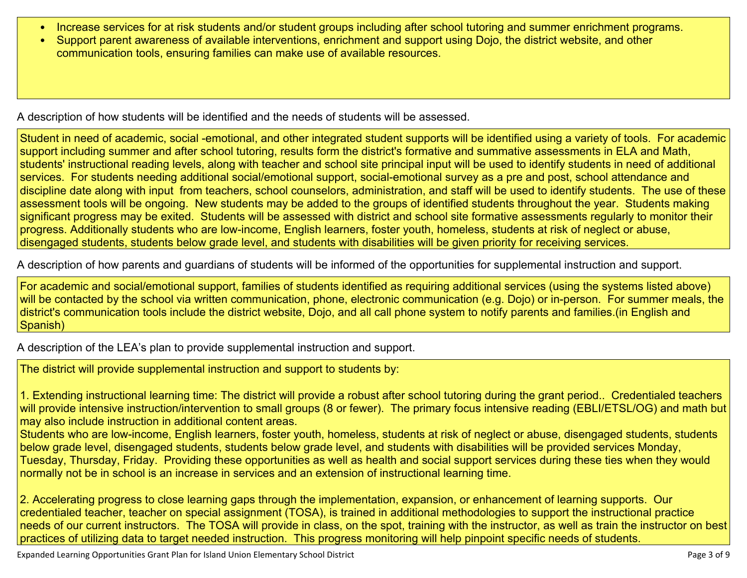- Increase services for at risk students and/or student groups including after school tutoring and summer enrichment programs.
- Support parent awareness of available interventions, enrichment and support using Dojo, the district website, and other communication tools, ensuring families can make use of available resources.

[A description of how students will be identified and the needs of students will be assessed.](#page-7-2)

Student in need of academic, social -emotional, and other integrated student supports will be identified using a variety of tools. For academic support including summer and after school tutoring, results form the district's formative and summative assessments in ELA and Math, students' instructional reading levels, along with teacher and school site principal input will be used to identify students in need of additional services. For students needing additional social/emotional support, social-emotional survey as a pre and post, school attendance and discipline date along with input from teachers, school counselors, administration, and staff will be used to identify students. The use of these assessment tools will be ongoing. New students may be added to the groups of identified students throughout the year. Students making significant progress may be exited. Students will be assessed with district and school site formative assessments regularly to monitor their progress. Additionally students who are low-income, English learners, foster youth, homeless, students at risk of neglect or abuse, disengaged students, students below grade level, and students with disabilities will be given priority for receiving services.

[A description of how parents and guardians of students will be informed of the opportunities for supplemental instruction and support.](#page-7-3)

For academic and social/emotional support, families of students identified as requiring additional services (using the systems listed above) will be contacted by the school via written communication, phone, electronic communication (e.g. Dojo) or in-person. For summer meals, the district's communication tools include the district website, Dojo, and all call phone system to notify parents and families.(in English and Spanish)

[A description of the LEA's plan to provide supplemental instruction and support.](#page-7-4)

The district will provide supplemental instruction and support to students by:

1. Extending instructional learning time: The district will provide a robust after school tutoring during the grant period.. Credentialed teachers will provide intensive instruction/intervention to small groups (8 or fewer). The primary focus intensive reading (EBLI/ETSL/OG) and math but may also include instruction in additional content areas.

Students who are low-income, English learners, foster youth, homeless, students at risk of neglect or abuse, disengaged students, students below grade level, disengaged students, students below grade level, and students with disabilities will be provided services Monday, Tuesday, Thursday, Friday. Providing these opportunities as well as health and social support services during these ties when they would normally not be in school is an increase in services and an extension of instructional learning time.

2. Accelerating progress to close learning gaps through the implementation, expansion, or enhancement of learning supports. Our credentialed teacher, teacher on special assignment (TOSA), is trained in additional methodologies to support the instructional practice needs of our current instructors. The TOSA will provide in class, on the spot, training with the instructor, as well as train the instructor on best practices of utilizing data to target needed instruction. This progress monitoring will help pinpoint specific needs of students.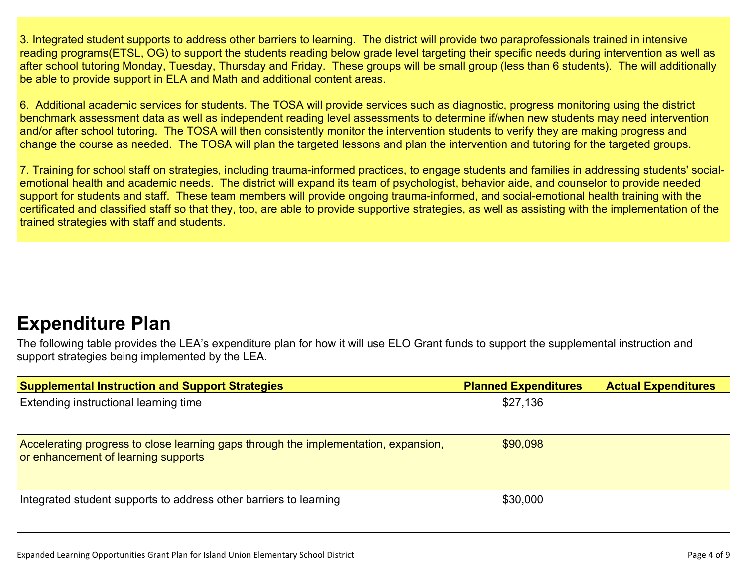3. Integrated student supports to address other barriers to learning. The district will provide two paraprofessionals trained in intensive reading programs(ETSL, OG) to support the students reading below grade level targeting their specific needs during intervention as well as after school tutoring Monday, Tuesday, Thursday and Friday. These groups will be small group (less than 6 students). The will additionally be able to provide support in ELA and Math and additional content areas.

6. Additional academic services for students. The TOSA will provide services such as diagnostic, progress monitoring using the district benchmark assessment data as well as independent reading level assessments to determine if/when new students may need intervention and/or after school tutoring. The TOSA will then consistently monitor the intervention students to verify they are making progress and change the course as needed. The TOSA will plan the targeted lessons and plan the intervention and tutoring for the targeted groups.

7. Training for school staff on strategies, including trauma-informed practices, to engage students and families in addressing students' socialemotional health and academic needs. The district will expand its team of psychologist, behavior aide, and counselor to provide needed support for students and staff. These team members will provide ongoing trauma-informed, and social-emotional health training with the certificated and classified staff so that they, too, are able to provide supportive strategies, as well as assisting with the implementation of the trained strategies with staff and students.

### **[Expenditure Plan](#page-8-0)**

The following table provides the LEA's expenditure plan for how it will use ELO Grant funds to support the supplemental instruction and support strategies being implemented by the LEA.

| <b>Supplemental Instruction and Support Strategies</b>                                                                     | <b>Planned Expenditures</b> | <b>Actual Expenditures</b> |
|----------------------------------------------------------------------------------------------------------------------------|-----------------------------|----------------------------|
| <b>Extending instructional learning time</b>                                                                               | \$27,136                    |                            |
| Accelerating progress to close learning gaps through the implementation, expansion,<br>or enhancement of learning supports | \$90,098                    |                            |
| Integrated student supports to address other barriers to learning                                                          | \$30,000                    |                            |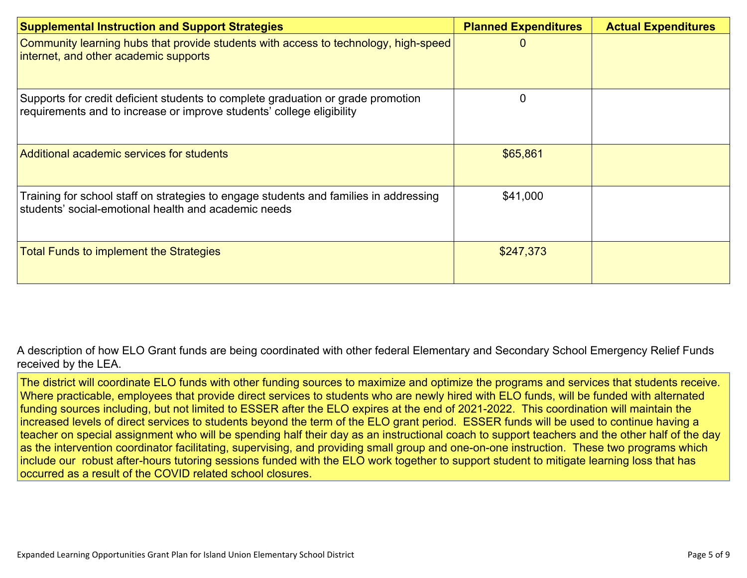| <b>Supplemental Instruction and Support Strategies</b>                                                                                                    | <b>Planned Expenditures</b> | <b>Actual Expenditures</b> |
|-----------------------------------------------------------------------------------------------------------------------------------------------------------|-----------------------------|----------------------------|
| Community learning hubs that provide students with access to technology, high-speed<br>internet, and other academic supports                              |                             |                            |
| Supports for credit deficient students to complete graduation or grade promotion<br>requirements and to increase or improve students' college eligibility |                             |                            |
| Additional academic services for students                                                                                                                 | \$65,861                    |                            |
| Training for school staff on strategies to engage students and families in addressing<br>students' social-emotional health and academic needs             | \$41,000                    |                            |
| <b>Total Funds to implement the Strategies</b>                                                                                                            | \$247,373                   |                            |

[A description of how ELO Grant funds are being coordinated with other federal Elementary and Secondary School Emergency Relief Funds](#page-8-1)  [received by the LEA.](#page-8-1)

The district will coordinate ELO funds with other funding sources to maximize and optimize the programs and services that students receive. Where practicable, employees that provide direct services to students who are newly hired with ELO funds, will be funded with alternated funding sources including, but not limited to ESSER after the ELO expires at the end of 2021-2022. This coordination will maintain the increased levels of direct services to students beyond the term of the ELO grant period. ESSER funds will be used to continue having a teacher on special assignment who will be spending half their day as an instructional coach to support teachers and the other half of the day as the intervention coordinator facilitating, supervising, and providing small group and one-on-one instruction. These two programs which include our robust after-hours tutoring sessions funded with the ELO work together to support student to mitigate learning loss that has occurred as a result of the COVID related school closures.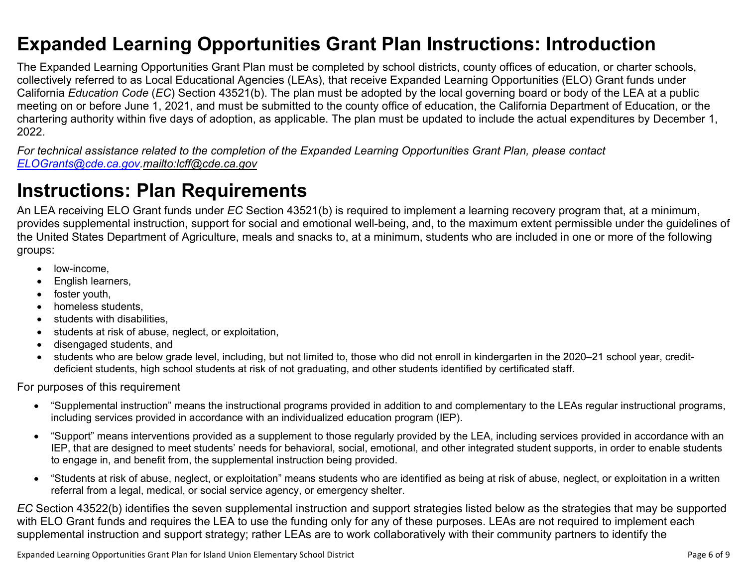### <span id="page-5-0"></span>**Expanded Learning Opportunities Grant Plan Instructions: Introduction**

The Expanded Learning Opportunities Grant Plan must be completed by school districts, county offices of education, or charter schools, collectively referred to as Local Educational Agencies (LEAs), that receive Expanded Learning Opportunities (ELO) Grant funds under California *Education Code* (*EC*) Section 43521(b). The plan must be adopted by the local governing board or body of the LEA at a public meeting on or before June 1, 2021, and must be submitted to the county office of education, the California Department of Education, or the chartering authority within five days of adoption, as applicable. The plan must be updated to include the actual expenditures by December 1, 2022.

*For technical assistance related to the completion of the Expanded Learning Opportunities Grant Plan, please contact [ELOGrants@cde.ca.gov](mailto:ELOGrants@cde.ca.gov).<mailto:lcff@cde.ca.gov>*

### **Instructions: Plan Requirements**

An LEA receiving ELO Grant funds under *EC* Section 43521(b) is required to implement a learning recovery program that, at a minimum, provides supplemental instruction, support for social and emotional well-being, and, to the maximum extent permissible under the guidelines of the United States Department of Agriculture, meals and snacks to, at a minimum, students who are included in one or more of the following groups:

- low-income.
- English learners,
- foster youth,
- homeless students.
- students with disabilities.
- students at risk of abuse, neglect, or exploitation,
- disengaged students, and
- students who are below grade level, including, but not limited to, those who did not enroll in kindergarten in the 2020–21 school year, creditdeficient students, high school students at risk of not graduating, and other students identified by certificated staff.

For purposes of this requirement

- "Supplemental instruction" means the instructional programs provided in addition to and complementary to the LEAs regular instructional programs, including services provided in accordance with an individualized education program (IEP).
- "Support" means interventions provided as a supplement to those regularly provided by the LEA, including services provided in accordance with an IEP, that are designed to meet students' needs for behavioral, social, emotional, and other integrated student supports, in order to enable students to engage in, and benefit from, the supplemental instruction being provided.
- "Students at risk of abuse, neglect, or exploitation" means students who are identified as being at risk of abuse, neglect, or exploitation in a written referral from a legal, medical, or social service agency, or emergency shelter.

*EC* Section 43522(b) identifies the seven supplemental instruction and support strategies listed below as the strategies that may be supported with ELO Grant funds and requires the LEA to use the funding only for any of these purposes. LEAs are not required to implement each supplemental instruction and support strategy; rather LEAs are to work collaboratively with their community partners to identify the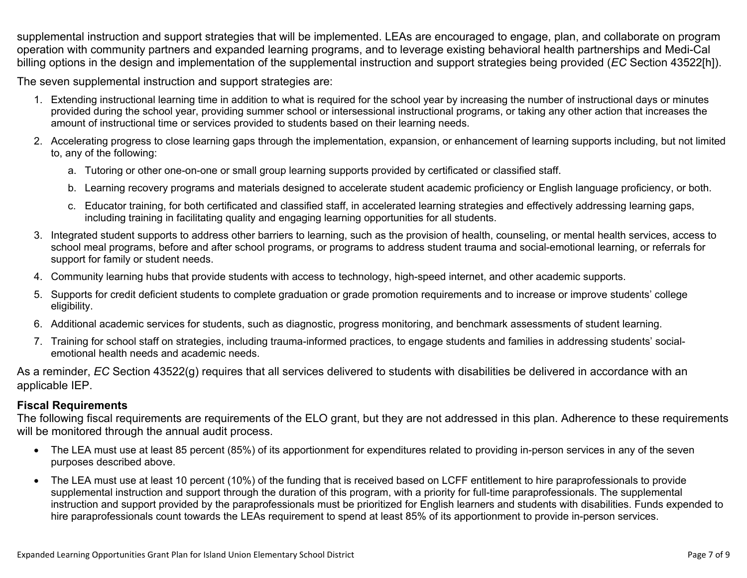supplemental instruction and support strategies that will be implemented. LEAs are encouraged to engage, plan, and collaborate on program operation with community partners and expanded learning programs, and to leverage existing behavioral health partnerships and Medi-Cal billing options in the design and implementation of the supplemental instruction and support strategies being provided (*EC* Section 43522[h]).

The seven supplemental instruction and support strategies are:

- 1. Extending instructional learning time in addition to what is required for the school year by increasing the number of instructional days or minutes provided during the school year, providing summer school or intersessional instructional programs, or taking any other action that increases the amount of instructional time or services provided to students based on their learning needs.
- 2. Accelerating progress to close learning gaps through the implementation, expansion, or enhancement of learning supports including, but not limited to, any of the following:
	- a. Tutoring or other one-on-one or small group learning supports provided by certificated or classified staff.
	- b. Learning recovery programs and materials designed to accelerate student academic proficiency or English language proficiency, or both.
	- c. Educator training, for both certificated and classified staff, in accelerated learning strategies and effectively addressing learning gaps, including training in facilitating quality and engaging learning opportunities for all students.
- 3. Integrated student supports to address other barriers to learning, such as the provision of health, counseling, or mental health services, access to school meal programs, before and after school programs, or programs to address student trauma and social-emotional learning, or referrals for support for family or student needs.
- 4. Community learning hubs that provide students with access to technology, high-speed internet, and other academic supports.
- 5. Supports for credit deficient students to complete graduation or grade promotion requirements and to increase or improve students' college eligibility.
- 6. Additional academic services for students, such as diagnostic, progress monitoring, and benchmark assessments of student learning.
- 7. Training for school staff on strategies, including trauma-informed practices, to engage students and families in addressing students' socialemotional health needs and academic needs.

As a reminder, *EC* Section 43522(g) requires that all services delivered to students with disabilities be delivered in accordance with an applicable IEP.

#### **Fiscal Requirements**

The following fiscal requirements are requirements of the ELO grant, but they are not addressed in this plan. Adherence to these requirements will be monitored through the annual audit process.

- The LEA must use at least 85 percent (85%) of its apportionment for expenditures related to providing in-person services in any of the seven purposes described above.
- The LEA must use at least 10 percent (10%) of the funding that is received based on LCFF entitlement to hire paraprofessionals to provide supplemental instruction and support through the duration of this program, with a priority for full-time paraprofessionals. The supplemental instruction and support provided by the paraprofessionals must be prioritized for English learners and students with disabilities. Funds expended to hire paraprofessionals count towards the LEAs requirement to spend at least 85% of its apportionment to provide in-person services.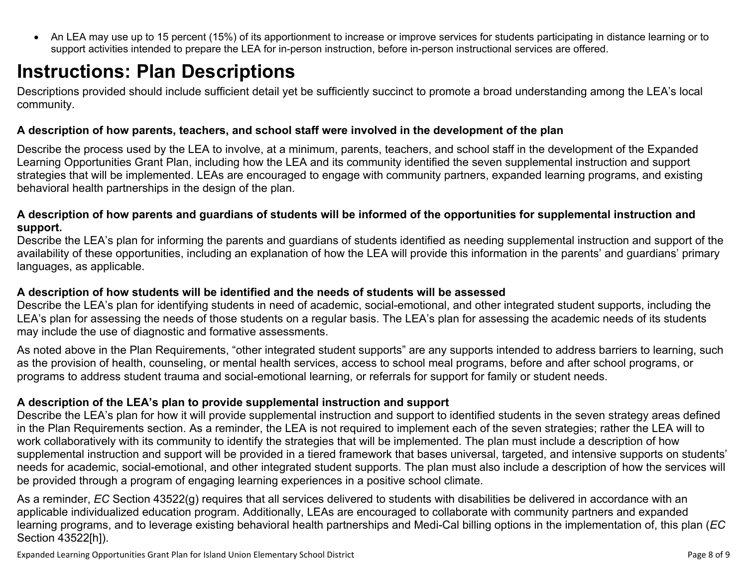<span id="page-7-0"></span>• An LEA may use up to 15 percent (15%) of its apportionment to increase or improve services for students participating in distance learning or to support activities intended to prepare the LEA for in-person instruction, before in-person instructional services are offered.

### **Instructions: Plan Descriptions**

Descriptions provided should include sufficient detail yet be sufficiently succinct to promote a broad understanding among the LEA's local community.

#### <span id="page-7-1"></span>**A description of how parents, teachers, and school staff were involved in the development of the plan**

Describe the process used by the LEA to involve, at a minimum, parents, teachers, and school staff in the development of the Expanded Learning Opportunities Grant Plan, including how the LEA and its community identified the seven supplemental instruction and support strategies that will be implemented. LEAs are encouraged to engage with community partners, expanded learning programs, and existing behavioral health partnerships in the design of the plan.

#### <span id="page-7-2"></span>**A description of how parents and guardians of students will be informed of the opportunities for supplemental instruction and support.**

Describe the LEA's plan for informing the parents and guardians of students identified as needing supplemental instruction and support of the availability of these opportunities, including an explanation of how the LEA will provide this information in the parents' and guardians' primary languages, as applicable.

#### <span id="page-7-3"></span>**A description of how students will be identified and the needs of students will be assessed**

Describe the LEA's plan for identifying students in need of academic, social-emotional, and other integrated student supports, including the LEA's plan for assessing the needs of those students on a regular basis. The LEA's plan for assessing the academic needs of its students may include the use of diagnostic and formative assessments.

As noted above in the Plan Requirements, "other integrated student supports" are any supports intended to address barriers to learning, such as the provision of health, counseling, or mental health services, access to school meal programs, before and after school programs, or programs to address student trauma and social-emotional learning, or referrals for support for family or student needs.

#### <span id="page-7-4"></span>**A description of the LEA's plan to provide supplemental instruction and support**

Describe the LEA's plan for how it will provide supplemental instruction and support to identified students in the seven strategy areas defined in the Plan Requirements section. As a reminder, the LEA is not required to implement each of the seven strategies; rather the LEA will to work collaboratively with its community to identify the strategies that will be implemented. The plan must include a description of how supplemental instruction and support will be provided in a tiered framework that bases universal, targeted, and intensive supports on students' needs for academic, social-emotional, and other integrated student supports. The plan must also include a description of how the services will be provided through a program of engaging learning experiences in a positive school climate.

As a reminder, *EC* Section 43522(g) requires that all services delivered to students with disabilities be delivered in accordance with an applicable individualized education program. Additionally, LEAs are encouraged to collaborate with community partners and expanded learning programs, and to leverage existing behavioral health partnerships and Medi-Cal billing options in the implementation of, this plan (*EC*  Section 43522[h]).